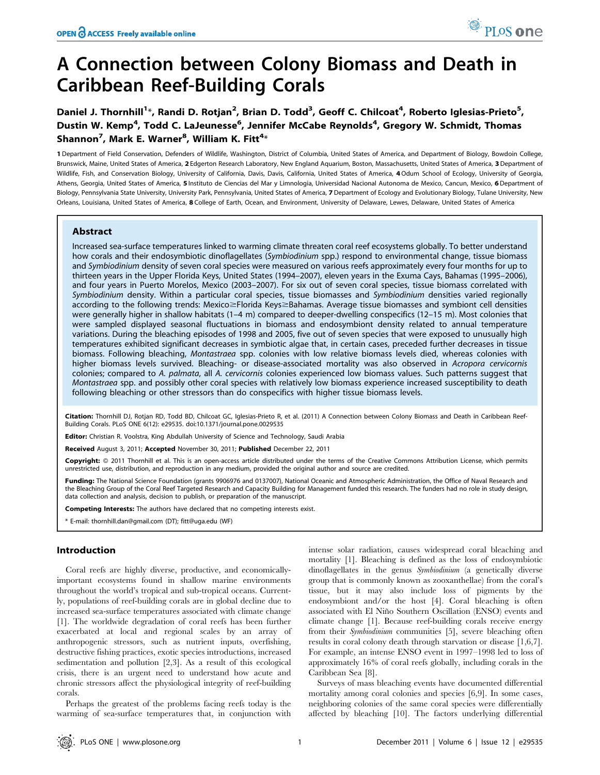# A Connection between Colony Biomass and Death in Caribbean Reef-Building Corals

Daniel J. Thornhill<sup>1</sup>\*, Randi D. Rotjan<sup>2</sup>, Brian D. Todd<sup>3</sup>, Geoff C. Chilcoat<sup>4</sup>, Roberto Iglesias-Prieto<sup>5</sup>, Dustin W. Kemp<sup>4</sup>, Todd C. LaJeunesse<sup>6</sup>, Jennifer McCabe Reynolds<sup>4</sup>, Gregory W. Schmidt, Thomas Shannon<sup>7</sup>, Mark E. Warner $^8$ , William K. Fitt $^{4_\times}$ 

1 Department of Field Conservation, Defenders of Wildlife, Washington, District of Columbia, United States of America, and Department of Biology, Bowdoin College, Brunswick, Maine, United States of America, 2 Edgerton Research Laboratory, New England Aquarium, Boston, Massachusetts, United States of America, 3 Department of Wildlife, Fish, and Conservation Biology, University of California, Davis, California, United States of America, 4 Odum School of Ecology, University of Georgia, Athens, Georgia, United States of America, 5 Instituto de Ciencias del Mar y Limnologia, Universidad Nacional Autonoma de Mexico, Cancun, Mexico, 6 Department of Biology, Pennsylvania State University, University Park, Pennsylvania, United States of America, 7 Department of Ecology and Evolutionary Biology, Tulane University, New Orleans, Louisiana, United States of America, 8 College of Earth, Ocean, and Environment, University of Delaware, Lewes, Delaware, United States of America

## Abstract

Increased sea-surface temperatures linked to warming climate threaten coral reef ecosystems globally. To better understand how corals and their endosymbiotic dinoflagellates (Symbiodinium spp.) respond to environmental change, tissue biomass and Symbiodinium density of seven coral species were measured on various reefs approximately every four months for up to thirteen years in the Upper Florida Keys, United States (1994–2007), eleven years in the Exuma Cays, Bahamas (1995–2006), and four years in Puerto Morelos, Mexico (2003–2007). For six out of seven coral species, tissue biomass correlated with Symbiodinium density. Within a particular coral species, tissue biomasses and Symbiodinium densities varied regionally according to the following trends: Mexico >Florida Keys >Bahamas. Average tissue biomasses and symbiont cell densities were generally higher in shallow habitats (1–4 m) compared to deeper-dwelling conspecifics (12–15 m). Most colonies that were sampled displayed seasonal fluctuations in biomass and endosymbiont density related to annual temperature variations. During the bleaching episodes of 1998 and 2005, five out of seven species that were exposed to unusually high temperatures exhibited significant decreases in symbiotic algae that, in certain cases, preceded further decreases in tissue biomass. Following bleaching, Montastraea spp. colonies with low relative biomass levels died, whereas colonies with higher biomass levels survived. Bleaching- or disease-associated mortality was also observed in Acropora cervicornis colonies; compared to A. palmata, all A. cervicornis colonies experienced low biomass values. Such patterns suggest that Montastraea spp. and possibly other coral species with relatively low biomass experience increased susceptibility to death following bleaching or other stressors than do conspecifics with higher tissue biomass levels.

Citation: Thornhill DJ, Rotian RD, Todd BD, Chilcoat GC, Iglesias-Prieto R, et al. (2011) A Connection between Colony Biomass and Death in Caribbean Reef-Building Corals. PLoS ONE 6(12): e29535. doi:10.1371/journal.pone.0029535

Editor: Christian R. Voolstra, King Abdullah University of Science and Technology, Saudi Arabia

Received August 3, 2011; Accepted November 30, 2011; Published December 22, 2011

Copyright: © 2011 Thornhill et al. This is an open-access article distributed under the terms of the Creative Commons Attribution License, which permits unrestricted use, distribution, and reproduction in any medium, provided the original author and source are credited.

Funding: The National Science Foundation (grants 9906976 and 0137007), National Oceanic and Atmospheric Administration, the Office of Naval Research and the Bleaching Group of the Coral Reef Targeted Research and Capacity Building for Management funded this research. The funders had no role in study design, data collection and analysis, decision to publish, or preparation of the manuscript.

Competing Interests: The authors have declared that no competing interests exist.

\* E-mail: thornhill.dan@gmail.com (DT); fitt@uga.edu (WF)

## Introduction

Coral reefs are highly diverse, productive, and economicallyimportant ecosystems found in shallow marine environments throughout the world's tropical and sub-tropical oceans. Currently, populations of reef-building corals are in global decline due to increased sea-surface temperatures associated with climate change [1]. The worldwide degradation of coral reefs has been further exacerbated at local and regional scales by an array of anthropogenic stressors, such as nutrient inputs, overfishing, destructive fishing practices, exotic species introductions, increased sedimentation and pollution [2,3]. As a result of this ecological crisis, there is an urgent need to understand how acute and chronic stressors affect the physiological integrity of reef-building corals.

Perhaps the greatest of the problems facing reefs today is the warming of sea-surface temperatures that, in conjunction with intense solar radiation, causes widespread coral bleaching and mortality [1]. Bleaching is defined as the loss of endosymbiotic dinoflagellates in the genus Symbiodinium (a genetically diverse group that is commonly known as zooxanthellae) from the coral's tissue, but it may also include loss of pigments by the endosymbiont and/or the host [4]. Coral bleaching is often associated with El Niño Southern Oscillation (ENSO) events and climate change [1]. Because reef-building corals receive energy from their Symbiodinium communities [5], severe bleaching often results in coral colony death through starvation or disease [1,6,7]. For example, an intense ENSO event in 1997–1998 led to loss of approximately 16% of coral reefs globally, including corals in the Caribbean Sea [8].

Surveys of mass bleaching events have documented differential mortality among coral colonies and species [6,9]. In some cases, neighboring colonies of the same coral species were differentially affected by bleaching [10]. The factors underlying differential

PLoS one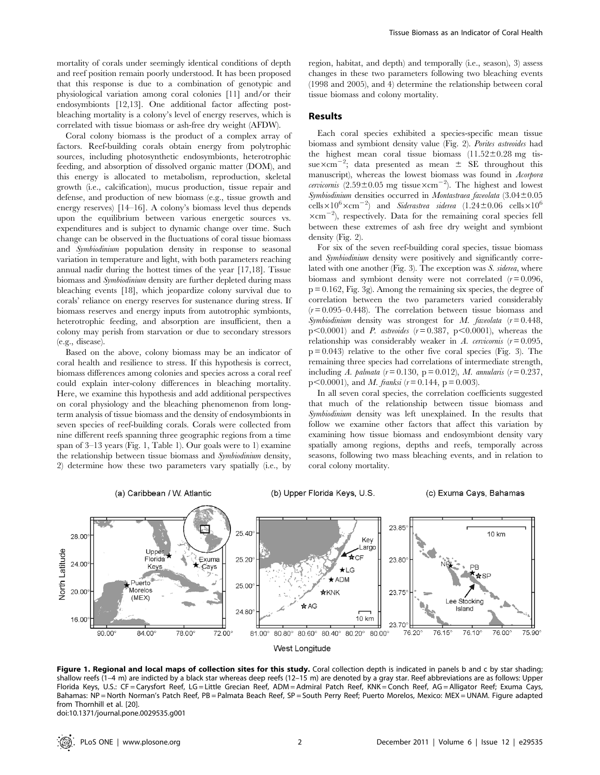mortality of corals under seemingly identical conditions of depth and reef position remain poorly understood. It has been proposed that this response is due to a combination of genotypic and physiological variation among coral colonies [11] and/or their endosymbionts [12,13]. One additional factor affecting postbleaching mortality is a colony's level of energy reserves, which is correlated with tissue biomass or ash-free dry weight (AFDW).

Coral colony biomass is the product of a complex array of factors. Reef-building corals obtain energy from polytrophic sources, including photosynthetic endosymbionts, heterotrophic feeding, and absorption of dissolved organic matter (DOM), and this energy is allocated to metabolism, reproduction, skeletal growth (i.e., calcification), mucus production, tissue repair and defense, and production of new biomass (e.g., tissue growth and energy reserves) [14–16]. A colony's biomass level thus depends upon the equilibrium between various energetic sources vs. expenditures and is subject to dynamic change over time. Such change can be observed in the fluctuations of coral tissue biomass and Symbiodinium population density in response to seasonal variation in temperature and light, with both parameters reaching annual nadir during the hottest times of the year [17,18]. Tissue biomass and Symbiodinium density are further depleted during mass bleaching events [18], which jeopardize colony survival due to corals' reliance on energy reserves for sustenance during stress. If biomass reserves and energy inputs from autotrophic symbionts, heterotrophic feeding, and absorption are insufficient, then a colony may perish from starvation or due to secondary stressors (e.g., disease).

Based on the above, colony biomass may be an indicator of coral health and resilience to stress. If this hypothesis is correct, biomass differences among colonies and species across a coral reef could explain inter-colony differences in bleaching mortality. Here, we examine this hypothesis and add additional perspectives on coral physiology and the bleaching phenomenon from longterm analysis of tissue biomass and the density of endosymbionts in seven species of reef-building corals. Corals were collected from nine different reefs spanning three geographic regions from a time span of 3–13 years (Fig. 1, Table 1). Our goals were to 1) examine the relationship between tissue biomass and Symbiodinium density, 2) determine how these two parameters vary spatially (i.e., by region, habitat, and depth) and temporally (i.e., season), 3) assess changes in these two parameters following two bleaching events (1998 and 2005), and 4) determine the relationship between coral tissue biomass and colony mortality.

# Results

Each coral species exhibited a species-specific mean tissue biomass and symbiont density value (Fig. 2). Porites astreoides had the highest mean coral tissue biomass  $(11.52 \pm 0.28$  mg tissue $\times$ cm<sup>-2</sup>; data presented as mean  $\pm$  SE throughout this manuscript), whereas the lowest biomass was found in Acorpora cervicornis  $(2.59 \pm 0.05$  mg tissue $\times$ cm<sup>-2</sup>). The highest and lowest Symbiodinium densities occurred in Montastraea faveolata  $(3.04 \pm 0.05$ cells $\times10^6\times$ cm<sup>-2</sup>) and *Siderastrea siderea* (1.24±0.06 cells $\times10^6$  $\times$ cm<sup>-2</sup>), respectively. Data for the remaining coral species fell between these extremes of ash free dry weight and symbiont density (Fig. 2).

For six of the seven reef-building coral species, tissue biomass and Symbiodinium density were positively and significantly correlated with one another (Fig. 3). The exception was S. siderea, where biomass and symbiont density were not correlated  $(r=0.096,$  $p = 0.162$ , Fig. 3g). Among the remaining six species, the degree of correlation between the two parameters varied considerably  $(r=0.095-0.448)$ . The correlation between tissue biomass and Symbiodinium density was strongest for M. faveolata  $(r=0.448,$  $p$ <0.0001) and *P. astreoides* ( $r = 0.387$ ,  $p$ <0.0001), whereas the relationship was considerably weaker in A. cervicornis  $(r=0.095,$  $p = 0.043$  relative to the other five coral species (Fig. 3). The remaining three species had correlations of intermediate strength, including A. palmata ( $r = 0.130$ ,  $p = 0.012$ ), M. annularis ( $r = 0.237$ ,  $p<0.0001$ , and *M. franksi* ( $r = 0.144$ ,  $p = 0.003$ ).

In all seven coral species, the correlation coefficients suggested that much of the relationship between tissue biomass and Symbiodinium density was left unexplained. In the results that follow we examine other factors that affect this variation by examining how tissue biomass and endosymbiont density vary spatially among regions, depths and reefs, temporally across seasons, following two mass bleaching events, and in relation to coral colony mortality.



Figure 1. Regional and local maps of collection sites for this study. Coral collection depth is indicated in panels b and c by star shading; shallow reefs (1–4 m) are indicted by a black star whereas deep reefs (12–15 m) are denoted by a gray star. Reef abbreviations are as follows: Upper Florida Keys, U.S.: CF = Carysfort Reef, LG = Little Grecian Reef, ADM = Admiral Patch Reef, KNK = Conch Reef, AG = Alligator Reef; Exuma Cays, Bahamas: NP = North Norman's Patch Reef, PB = Palmata Beach Reef, SP = South Perry Reef; Puerto Morelos, Mexico: MEX = UNAM. Figure adapted from Thornhill et al. [20].

doi:10.1371/journal.pone.0029535.g001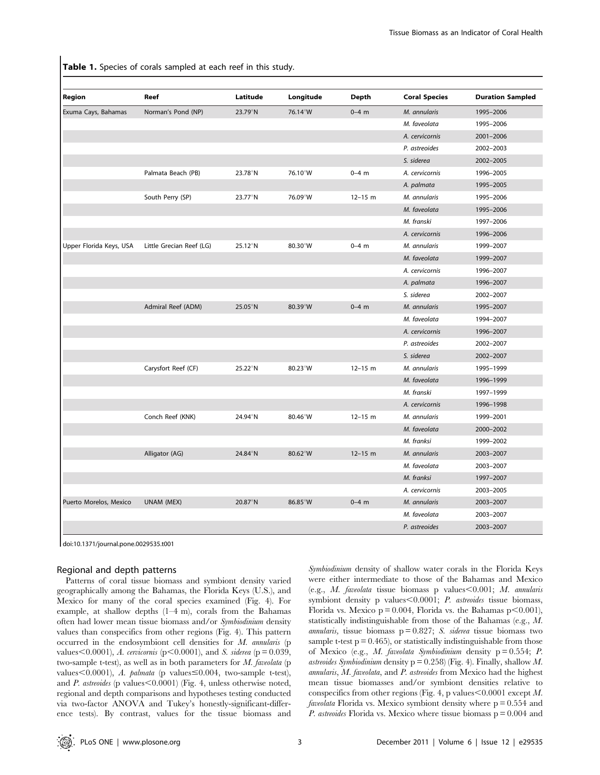Table 1. Species of corals sampled at each reef in this study.

| Region                  | Reef                     | Latitude          | Longitude         | Depth       | <b>Coral Species</b> | <b>Duration Sampled</b> |
|-------------------------|--------------------------|-------------------|-------------------|-------------|----------------------|-------------------------|
| Exuma Cays, Bahamas     | Norman's Pond (NP)       | $23.79^{\circ}$ N | 76.14°W           | $0-4$ m     | M. annularis         | 1995-2006               |
|                         |                          |                   |                   |             | M. faveolata         | 1995-2006               |
|                         |                          |                   |                   |             | A. cervicornis       | 2001-2006               |
|                         |                          |                   |                   |             | P. astreoides        | 2002-2003               |
|                         |                          |                   |                   |             | S. siderea           | 2002-2005               |
|                         | Palmata Beach (PB)       | 23.78°N           | 76.10°W           | $0 - 4$ m   | A. cervicornis       | 1996-2005               |
|                         |                          |                   |                   |             | A. palmata           | 1995-2005               |
|                         | South Perry (SP)         | 23.77°N           | 76.09°W           | $12 - 15$ m | M. annularis         | 1995-2006               |
|                         |                          |                   |                   |             | M. faveolata         | 1995-2006               |
|                         |                          |                   |                   |             | M. franski           | 1997-2006               |
|                         |                          |                   |                   |             | A. cervicornis       | 1996-2006               |
| Upper Florida Keys, USA | Little Grecian Reef (LG) | 25.12°N           | $80.30^\circ$ W   | $0 - 4$ m   | M. annularis         | 1999-2007               |
|                         |                          |                   |                   |             | M. faveolata         | 1999-2007               |
|                         |                          |                   |                   |             | A. cervicornis       | 1996-2007               |
|                         |                          |                   |                   |             | A. palmata           | 1996-2007               |
|                         |                          |                   |                   |             | S. siderea           | 2002-2007               |
|                         | Admiral Reef (ADM)       | $25.05^{\circ}$ N | $80.39^{\circ}$ W | $0-4$ m     | M. annularis         | 1995-2007               |
|                         |                          |                   |                   |             | M. faveolata         | 1994-2007               |
|                         |                          |                   |                   |             | A. cervicornis       | 1996-2007               |
|                         |                          |                   |                   |             | P. astreoides        | 2002-2007               |
|                         |                          |                   |                   |             | S. siderea           | 2002-2007               |
|                         | Carysfort Reef (CF)      | 25.22°N           | 80.23°W           | $12 - 15$ m | M. annularis         | 1995-1999               |
|                         |                          |                   |                   |             | M. faveolata         | 1996-1999               |
|                         |                          |                   |                   |             | M. franski           | 1997-1999               |
|                         |                          |                   |                   |             | A. cervicornis       | 1996-1998               |
|                         | Conch Reef (KNK)         | 24.94°N           | 80.46°W           | $12 - 15$ m | M. annularis         | 1999-2001               |
|                         |                          |                   |                   |             | M. faveolata         | 2000-2002               |
|                         |                          |                   |                   |             | M. franksi           | 1999-2002               |
|                         | Alligator (AG)           | 24.84°N           | $80.62^{\circ}$ W | $12 - 15$ m | M. annularis         | 2003-2007               |
|                         |                          |                   |                   |             | M. faveolata         | 2003-2007               |
|                         |                          |                   |                   |             | M. franksi           | 1997-2007               |
|                         |                          |                   |                   |             | A. cervicornis       | 2003-2005               |
| Puerto Morelos, Mexico  | UNAM (MEX)               | $20.87^{\circ}$ N | $86.85^{\circ}$ W | $0 - 4$ m   | M. annularis         | 2003-2007               |
|                         |                          |                   |                   |             | M. faveolata         | 2003-2007               |
|                         |                          |                   |                   |             | P. astreoides        | 2003-2007               |

doi:10.1371/journal.pone.0029535.t001

#### Regional and depth patterns

Patterns of coral tissue biomass and symbiont density varied geographically among the Bahamas, the Florida Keys (U.S.), and Mexico for many of the coral species examined (Fig. 4). For example, at shallow depths (1–4 m), corals from the Bahamas often had lower mean tissue biomass and/or Symbiodinium density values than conspecifics from other regions (Fig. 4). This pattern occurred in the endosymbiont cell densities for M. annularis (p values < 0.0001), A. cervicornis (p < 0.0001), and S. siderea (p = 0.039, two-sample t-test), as well as in both parameters for M. faveolata (p values $<$ 0.0001), A. palmata (p values $\leq$ 0.004, two-sample t-test), and  $P.$  astreoides (p values $\leq$ 0.0001) (Fig. 4, unless otherwise noted, regional and depth comparisons and hypotheses testing conducted via two-factor ANOVA and Tukey's honestly-significant-difference tests). By contrast, values for the tissue biomass and Symbiodinium density of shallow water corals in the Florida Keys were either intermediate to those of the Bahamas and Mexico (e.g.,  $M.$  faveolata tissue biomass p values $\leq 0.001$ ;  $M.$  annularis symbiont density p values $< 0.0001$ ; *P. astreoides* tissue biomass, Florida vs. Mexico  $p = 0.004$ , Florida vs. the Bahamas  $p \le 0.001$ ), statistically indistinguishable from those of the Bahamas (e.g., M. annularis, tissue biomass  $p = 0.827$ ; S. siderea tissue biomass two sample t-test  $p = 0.465$ ), or statistically indistinguishable from those of Mexico (e.g., M. faveolata Symbiodinium density p = 0.554; P. astreoides Symbiodinium density  $p = 0.258$ ) (Fig. 4). Finally, shallow M. annularis, M. faveolata, and P. astreoides from Mexico had the highest mean tissue biomasses and/or symbiont densities relative to conspecifics from other regions (Fig. 4, p values  $0.0001$  except M. *faveolata* Florida vs. Mexico symbiont density where  $p = 0.554$  and *P. astreoides* Florida vs. Mexico where tissue biomass  $p = 0.004$  and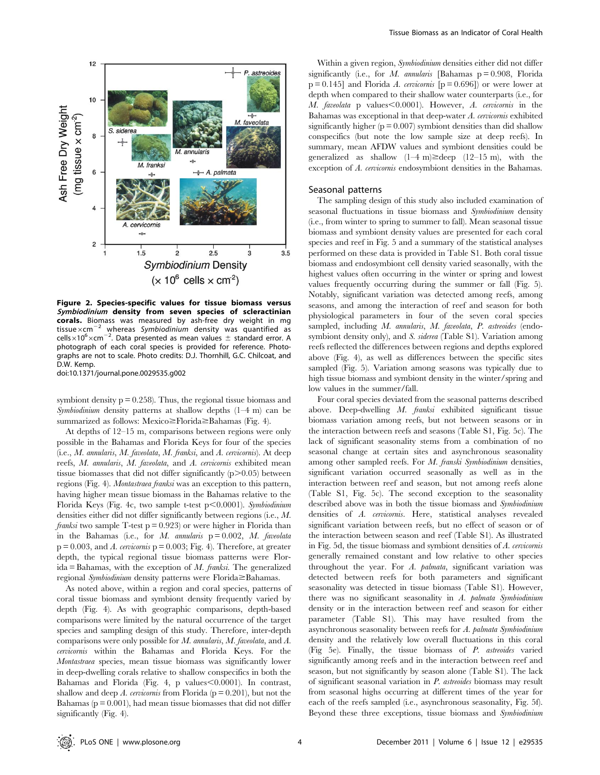

Figure 2. Species-specific values for tissue biomass versus Symbiodinium density from seven species of scleractinian corals. Biomass was measured by ash-free dry weight in mg tissue $\times$ cm<sup>-2</sup> whereas Symbiodinium density was quantified as cells $\times10^6\times$ cm<sup>-2</sup>. Data presented as mean values  $\pm$  standard error. A photograph of each coral species is provided for reference. Photographs are not to scale. Photo credits: D.J. Thornhill, G.C. Chilcoat, and D.W. Kemp.

doi:10.1371/journal.pone.0029535.g002

symbiont density  $p = 0.258$ . Thus, the regional tissue biomass and Symbiodinium density patterns at shallow depths (1–4 m) can be summarized as follows: Mexico $\geq$ Florida $\geq$ Bahamas (Fig. 4).

At depths of 12–15 m, comparisons between regions were only possible in the Bahamas and Florida Keys for four of the species (i.e., M. annularis, M. faveolata, M. franksi, and A. cervicornis). At deep reefs, M. annularis, M. faveolata, and A. cervicornis exhibited mean tissue biomasses that did not differ significantly  $(p>0.05)$  between regions (Fig. 4). Montastraea franksi was an exception to this pattern, having higher mean tissue biomass in the Bahamas relative to the Florida Keys (Fig. 4c, two sample t-test  $p<0.0001$ ). Symbiodinium densities either did not differ significantly between regions (i.e., M. *franksi* two sample T-test  $p = 0.923$  or were higher in Florida than in the Bahamas (i.e., for M. annularis  $p = 0.002$ , M. faveolata  $p = 0.003$ , and A. cervicornis  $p = 0.003$ ; Fig. 4). Therefore, at greater depth, the typical regional tissue biomass patterns were Flor $ida = Bahamas$ , with the exception of M. franksi. The generalized regional Symbiodinium density patterns were Florida $\geq$ Bahamas.

As noted above, within a region and coral species, patterns of coral tissue biomass and symbiont density frequently varied by depth (Fig. 4). As with geographic comparisons, depth-based comparisons were limited by the natural occurrence of the target species and sampling design of this study. Therefore, inter-depth comparisons were only possible for M. annularis, M. faveolata, and A. cervicornis within the Bahamas and Florida Keys. For the Montastraea species, mean tissue biomass was significantly lower in deep-dwelling corals relative to shallow conspecifics in both the Bahamas and Florida (Fig. 4, p values $<$ 0.0001). In contrast, shallow and deep A. cervicornis from Florida ( $p = 0.201$ ), but not the Bahamas ( $p = 0.001$ ), had mean tissue biomasses that did not differ significantly (Fig. 4).

Within a given region, Symbiodinium densities either did not differ significantly (i.e., for M. annularis [Bahamas  $p = 0.908$ , Florida  $p = 0.145$ ] and Florida A. cervicornis  $[p = 0.696]$  or were lower at depth when compared to their shallow water counterparts (i.e., for  $M.$  faveolata p values $\leq 0.0001$ ). However,  $A.$  cervicornis in the Bahamas was exceptional in that deep-water A. cervicornis exhibited significantly higher ( $p = 0.007$ ) symbiont densities than did shallow conspecifics (but note the low sample size at deep reefs). In summary, mean AFDW values and symbiont densities could be generalized as shallow  $(1-4 \text{ m}) \geq$ deep  $(12-15 \text{ m})$ , with the exception of A. cervicornis endosymbiont densities in the Bahamas.

#### Seasonal patterns

The sampling design of this study also included examination of seasonal fluctuations in tissue biomass and Symbiodinium density (i.e., from winter to spring to summer to fall). Mean seasonal tissue biomass and symbiont density values are presented for each coral species and reef in Fig. 5 and a summary of the statistical analyses performed on these data is provided in Table S1. Both coral tissue biomass and endosymbiont cell density varied seasonally, with the highest values often occurring in the winter or spring and lowest values frequently occurring during the summer or fall (Fig. 5). Notably, significant variation was detected among reefs, among seasons, and among the interaction of reef and season for both physiological parameters in four of the seven coral species sampled, including M. annularis, M. faveolata, P. astreoides (endosymbiont density only), and S. siderea (Table S1). Variation among reefs reflected the differences between regions and depths explored above (Fig. 4), as well as differences between the specific sites sampled (Fig. 5). Variation among seasons was typically due to high tissue biomass and symbiont density in the winter/spring and low values in the summer/fall.

Four coral species deviated from the seasonal patterns described above. Deep-dwelling M. franksi exhibited significant tissue biomass variation among reefs, but not between seasons or in the interaction between reefs and seasons (Table S1, Fig. 5c). The lack of significant seasonality stems from a combination of no seasonal change at certain sites and asynchronous seasonality among other sampled reefs. For M. franski Symbiodinium densities, significant variation occurred seasonally as well as in the interaction between reef and season, but not among reefs alone (Table S1, Fig. 5c). The second exception to the seasonality described above was in both the tissue biomass and Symbiodinium densities of A. cervicornis. Here, statistical analyses revealed significant variation between reefs, but no effect of season or of the interaction between season and reef (Table S1). As illustrated in Fig. 5d, the tissue biomass and symbiont densities of A. cervicornis generally remained constant and low relative to other species throughout the year. For A. palmata, significant variation was detected between reefs for both parameters and significant seasonality was detected in tissue biomass (Table S1). However, there was no significant seasonality in A. palmata Symbiodinium density or in the interaction between reef and season for either parameter (Table S1). This may have resulted from the asynchronous seasonality between reefs for A. palmata Symbiodinium density and the relatively low overall fluctuations in this coral (Fig 5e). Finally, the tissue biomass of P. astreoides varied significantly among reefs and in the interaction between reef and season, but not significantly by season alone (Table S1). The lack of significant seasonal variation in P. astreoides biomass may result from seasonal highs occurring at different times of the year for each of the reefs sampled (i.e., asynchronous seasonality, Fig. 5f). Beyond these three exceptions, tissue biomass and Symbiodinium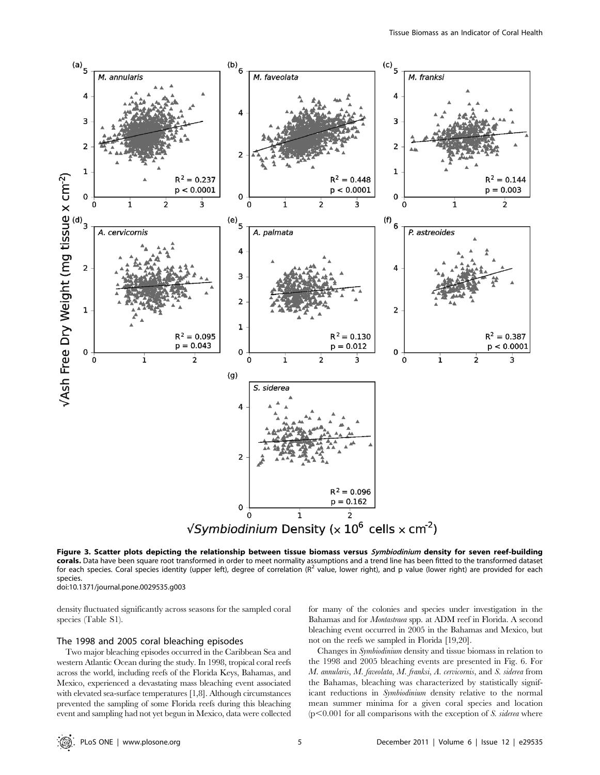

Figure 3. Scatter plots depicting the relationship between tissue biomass versus Symbiodinium density for seven reef-building corals. Data have been square root transformed in order to meet normality assumptions and a trend line has been fitted to the transformed dataset for each species. Coral species identity (upper left), degree of correlation ( $R<sup>2</sup>$  value, lower right), and p value (lower right) are provided for each species.

doi:10.1371/journal.pone.0029535.g003

density fluctuated significantly across seasons for the sampled coral species (Table S1).

## The 1998 and 2005 coral bleaching episodes

Two major bleaching episodes occurred in the Caribbean Sea and western Atlantic Ocean during the study. In 1998, tropical coral reefs across the world, including reefs of the Florida Keys, Bahamas, and Mexico, experienced a devastating mass bleaching event associated with elevated sea-surface temperatures [1,8]. Although circumstances prevented the sampling of some Florida reefs during this bleaching event and sampling had not yet begun in Mexico, data were collected for many of the colonies and species under investigation in the Bahamas and for Montastraea spp. at ADM reef in Florida. A second bleaching event occurred in 2005 in the Bahamas and Mexico, but not on the reefs we sampled in Florida [19,20].

Changes in Symbiodinium density and tissue biomass in relation to the 1998 and 2005 bleaching events are presented in Fig. 6. For M. annularis, M. faveolata, M. franksi, A. cervicornis, and S. siderea from the Bahamas, bleaching was characterized by statistically significant reductions in Symbiodinium density relative to the normal mean summer minima for a given coral species and location  $(p<0.001$  for all comparisons with the exception of S. siderea where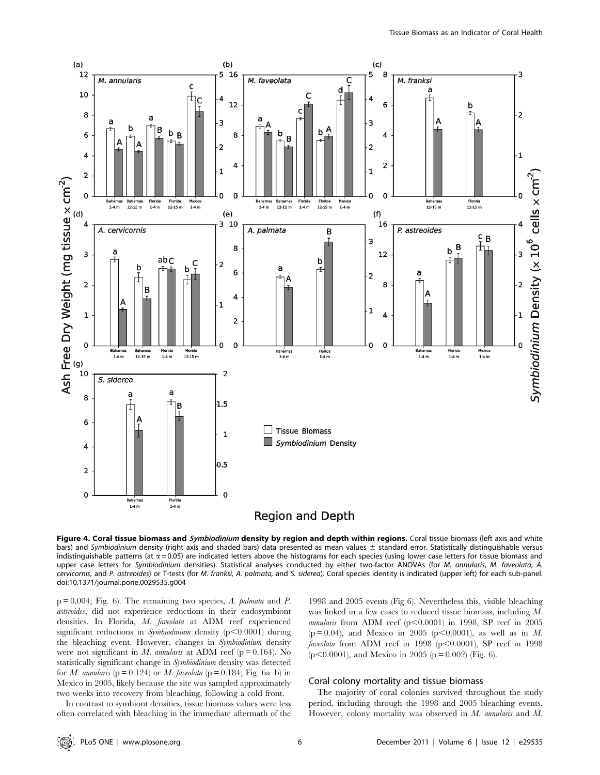

# **Region and Depth**

Figure 4. Coral tissue biomass and Symbiodinium density by region and depth within regions. Coral tissue biomass (left axis and white bars) and Symbiodinium density (right axis and shaded bars) data presented as mean values  $\pm$  standard error. Statistically distinguishable versus indistinguishable patterns (at  $\alpha$  = 0.05) are indicated letters above the histograms for each species (using lower case letters for tissue biomass and upper case letters for Symbiodinium densities). Statistical analyses conducted by either two-factor ANOVAs (for M. annularis, M. faveolata, A. cervicornis, and P. astreoides) or T-tests (for M. franksi, A. palmata, and S. siderea). Coral species identity is indicated (upper left) for each sub-panel. doi:10.1371/journal.pone.0029535.g004

 $p = 0.004$ ; Fig. 6). The remaining two species, A. palmata and P. astreoides, did not experience reductions in their endosymbiont densities. In Florida, M. faveolata at ADM reef experienced significant reductions in Symbiodinium density  $(p<0.0001)$  during the bleaching event. However, changes in Symbiodinium density were not significant in M. annularis at ADM reef ( $p = 0.164$ ). No statistically significant change in Symbiodinium density was detected for *M. annularis* ( $p = 0.124$ ) or *M. faveolata* ( $p = 0.184$ ; Fig. 6a-b) in Mexico in 2005, likely because the site was sampled approximately two weeks into recovery from bleaching, following a cold front.

In contrast to symbiont densities, tissue biomass values were less often correlated with bleaching in the immediate aftermath of the

1998 and 2005 events (Fig 6). Nevertheless this, visible bleaching was linked in a few cases to reduced tissue biomass, including M. annularis from ADM reef  $(p<0.0001)$  in 1998, SP reef in 2005  $(p = 0.04)$ , and Mexico in 2005 (p<0.0001), as well as in M. faveolata from ADM reef in 1998 ( $p<0.0001$ ), SP reef in 1998  $(p<0.0001)$ , and Mexico in 2005 (p = 0.002) (Fig. 6).

## Coral colony mortality and tissue biomass

The majority of coral colonies survived throughout the study period, including through the 1998 and 2005 bleaching events. However, colony mortality was observed in M. annularis and M.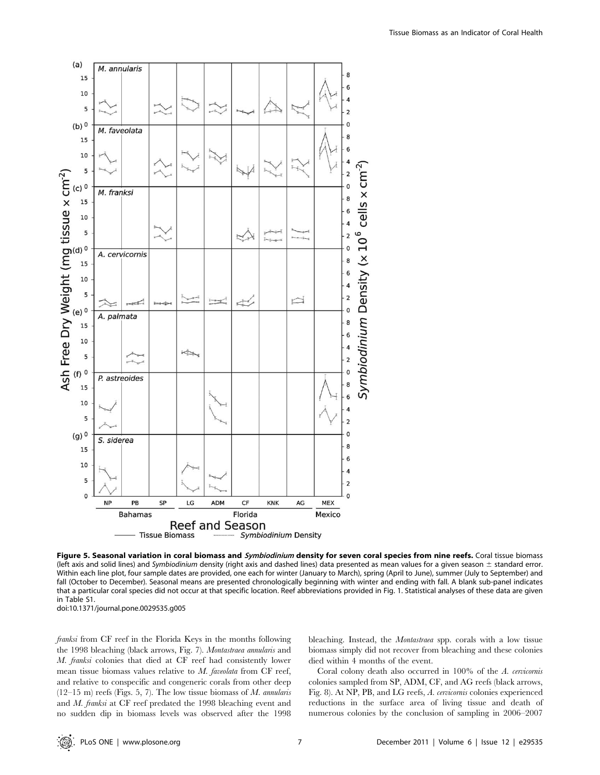

Figure 5. Seasonal variation in coral biomass and Symbiodinium density for seven coral species from nine reefs. Coral tissue biomass (left axis and solid lines) and Symbiodinium density (right axis and dashed lines) data presented as mean values for a given season  $\pm$  standard error. Within each line plot, four sample dates are provided, one each for winter (January to March), spring (April to June), summer (July to September) and fall (October to December). Seasonal means are presented chronologically beginning with winter and ending with fall. A blank sub-panel indicates that a particular coral species did not occur at that specific location. Reef abbreviations provided in Fig. 1. Statistical analyses of these data are given in Table S1. doi:10.1371/journal.pone.0029535.g005

franksi from CF reef in the Florida Keys in the months following the 1998 bleaching (black arrows, Fig. 7). Montastraea annularis and M. franksi colonies that died at CF reef had consistently lower mean tissue biomass values relative to M. faveolata from CF reef, and relative to conspecific and congeneric corals from other deep  $(12-15 \text{ m})$  reefs (Figs. 5, 7). The low tissue biomass of M. annularis and M. franksi at CF reef predated the 1998 bleaching event and no sudden dip in biomass levels was observed after the 1998 bleaching. Instead, the Montastraea spp. corals with a low tissue biomass simply did not recover from bleaching and these colonies died within 4 months of the event.

Coral colony death also occurred in 100% of the A. cervicornis colonies sampled from SP, ADM, CF, and AG reefs (black arrows, Fig. 8). At NP, PB, and LG reefs, A. cervicornis colonies experienced reductions in the surface area of living tissue and death of numerous colonies by the conclusion of sampling in 2006–2007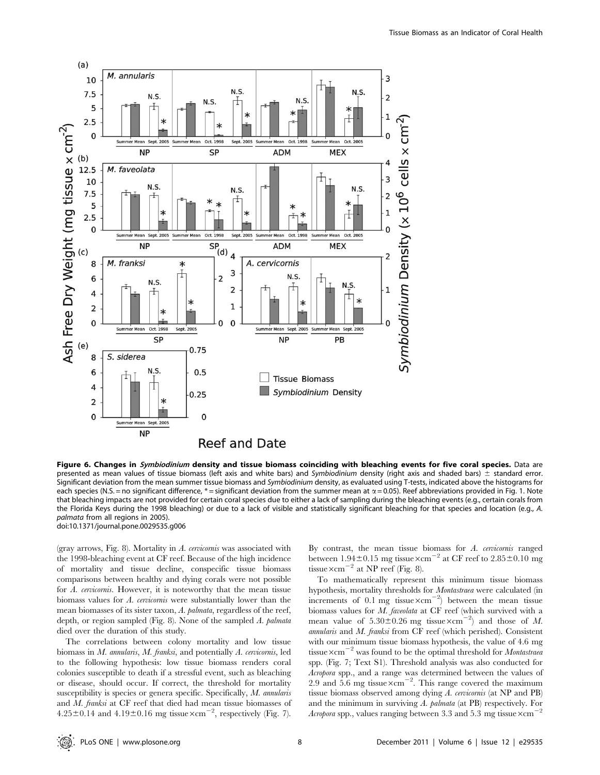

Figure 6. Changes in Symbiodinium density and tissue biomass coinciding with bleaching events for five coral species. Data are presented as mean values of tissue biomass (left axis and white bars) and Symbiodinium density (right axis and shaded bars)  $\pm$  standard error. Significant deviation from the mean summer tissue biomass and Symbiodinium density, as evaluated using T-tests, indicated above the histograms for each species (N.S. = no significant difference, \*= significant deviation from the summer mean at  $\alpha$  = 0.05). Reef abbreviations provided in Fig. 1. Note that bleaching impacts are not provided for certain coral species due to either a lack of sampling during the bleaching events (e.g., certain corals from the Florida Keys during the 1998 bleaching) or due to a lack of visible and statistically significant bleaching for that species and location (e.g., A. palmata from all regions in 2005). doi:10.1371/journal.pone.0029535.g006

(gray arrows, Fig. 8). Mortality in A. cervicornis was associated with the 1998-bleaching event at CF reef. Because of the high incidence of mortality and tissue decline, conspecific tissue biomass comparisons between healthy and dying corals were not possible for A. cervicornis. However, it is noteworthy that the mean tissue biomass values for A. cervicornis were substantially lower than the mean biomasses of its sister taxon, A. palmata, regardless of the reef, depth, or region sampled (Fig. 8). None of the sampled A. palmata died over the duration of this study.

The correlations between colony mortality and low tissue biomass in M. annularis, M. franksi, and potentially A. cervicornis, led to the following hypothesis: low tissue biomass renders coral colonies susceptible to death if a stressful event, such as bleaching or disease, should occur. If correct, the threshold for mortality susceptibility is species or genera specific. Specifically, M. annularis and M. franksi at CF reef that died had mean tissue biomasses of  $4.25\pm0.14$  and  $4.19\pm0.16$  mg tissue  $\times$ cm<sup>-2</sup>, respectively (Fig. 7).

By contrast, the mean tissue biomass for  $A$ . cervicornis ranged between  $1.94\pm0.15$  mg tissue  $\times$ cm<sup>-2</sup> at CF reef to 2.85 $\pm$ 0.10 mg tissue $\times$ cm<sup>-2</sup> at NP reef (Fig. 8).

To mathematically represent this minimum tissue biomass hypothesis, mortality thresholds for Montastraea were calculated (in increments of 0.1 mg tissue $\times$ cm<sup>-2</sup>) between the mean tissue biomass values for M. faveolata at CF reef (which survived with a mean value of  $5.30\pm0.26$  mg tissue $\times$ cm<sup>-2</sup>) and those of M. annularis and M. franksi from CF reef (which perished). Consistent with our minimum tissue biomass hypothesis, the value of 4.6 mg tissue $\times$ cm<sup>-2</sup> was found to be the optimal threshold for *Montastraea* spp. (Fig. 7; Text S1). Threshold analysis was also conducted for Acropora spp., and a range was determined between the values of 2.9 and 5.6 mg tissue $\times$ cm<sup>-2</sup>. This range covered the maximum tissue biomass observed among dying A. cervicornis (at NP and PB) and the minimum in surviving A. palmata (at PB) respectively. For Acropora spp., values ranging between 3.3 and 5.3 mg tissue  $\times$ cm<sup>-</sup>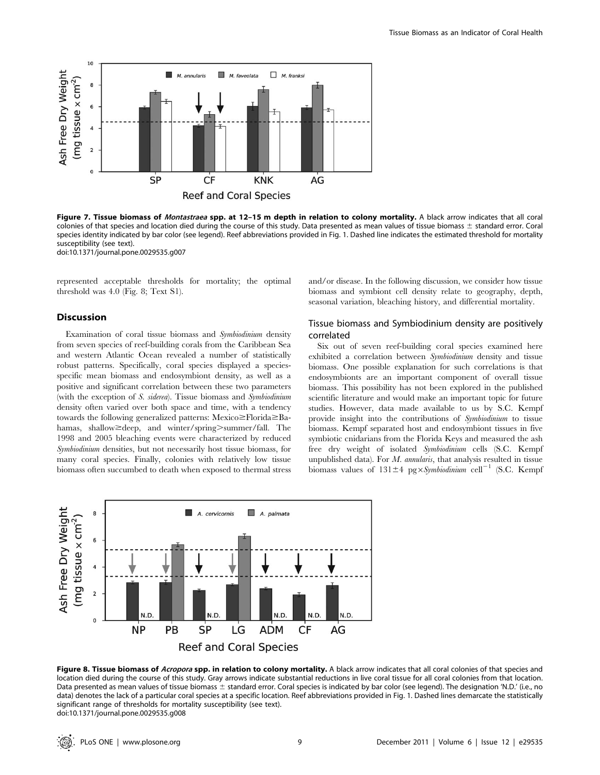

Figure 7. Tissue biomass of Montastraea spp. at 12-15 m depth in relation to colony mortality. A black arrow indicates that all coral colonies of that species and location died during the course of this study. Data presented as mean values of tissue biomass  $\pm$  standard error. Coral species identity indicated by bar color (see legend). Reef abbreviations provided in Fig. 1. Dashed line indicates the estimated threshold for mortality susceptibility (see text). doi:10.1371/journal.pone.0029535.g007

represented acceptable thresholds for mortality; the optimal threshold was 4.0 (Fig. 8; Text S1).

## Discussion

Examination of coral tissue biomass and Symbiodinium density from seven species of reef-building corals from the Caribbean Sea and western Atlantic Ocean revealed a number of statistically robust patterns. Specifically, coral species displayed a speciesspecific mean biomass and endosymbiont density, as well as a positive and significant correlation between these two parameters (with the exception of S. siderea). Tissue biomass and Symbiodinium density often varied over both space and time, with a tendency towards the following generalized patterns: Mexico $\geq$ Florida $\geq$ Bahamas, shallow  $\geq$  deep, and winter/spring  $\geq$  summer/fall. The 1998 and 2005 bleaching events were characterized by reduced Symbiodinium densities, but not necessarily host tissue biomass, for many coral species. Finally, colonies with relatively low tissue biomass often succumbed to death when exposed to thermal stress and/or disease. In the following discussion, we consider how tissue biomass and symbiont cell density relate to geography, depth, seasonal variation, bleaching history, and differential mortality.

# Tissue biomass and Symbiodinium density are positively correlated

Six out of seven reef-building coral species examined here exhibited a correlation between Symbiodinium density and tissue biomass. One possible explanation for such correlations is that endosymbionts are an important component of overall tissue biomass. This possibility has not been explored in the published scientific literature and would make an important topic for future studies. However, data made available to us by S.C. Kempf provide insight into the contributions of Symbiodinium to tissue biomass. Kempf separated host and endosymbiont tissues in five symbiotic cnidarians from the Florida Keys and measured the ash free dry weight of isolated Symbiodinium cells (S.C. Kempf unpublished data). For  $M$ . annularis, that analysis resulted in tissue biomass values of  $131\pm4$  pg×Symbiodinium cell<sup>-1</sup> (S.C. Kempf



Figure 8. Tissue biomass of Acropora spp. in relation to colony mortality. A black arrow indicates that all coral colonies of that species and location died during the course of this study. Gray arrows indicate substantial reductions in live coral tissue for all coral colonies from that location. Data presented as mean values of tissue biomass ± standard error. Coral species is indicated by bar color (see legend). The designation 'N.D.' (i.e., no data) denotes the lack of a particular coral species at a specific location. Reef abbreviations provided in Fig. 1. Dashed lines demarcate the statistically significant range of thresholds for mortality susceptibility (see text). doi:10.1371/journal.pone.0029535.g008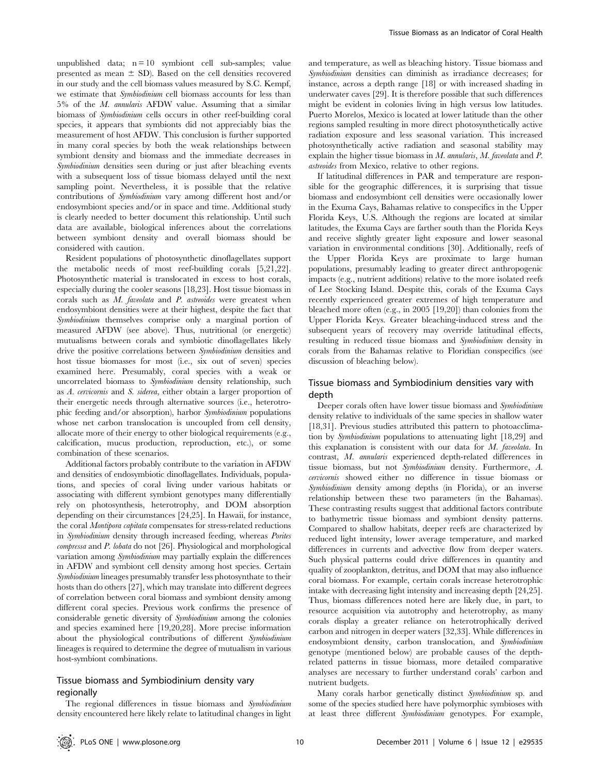unpublished data;  $n = 10$  symbiont cell sub-samples; value presented as mean  $\pm$  SD). Based on the cell densities recovered in our study and the cell biomass values measured by S.C. Kempf, we estimate that Symbiodinium cell biomass accounts for less than 5% of the M. annularis AFDW value. Assuming that a similar biomass of Symbiodinium cells occurs in other reef-building coral species, it appears that symbionts did not appreciably bias the measurement of host AFDW. This conclusion is further supported in many coral species by both the weak relationships between symbiont density and biomass and the immediate decreases in Symbiodinium densities seen during or just after bleaching events with a subsequent loss of tissue biomass delayed until the next sampling point. Nevertheless, it is possible that the relative contributions of Symbiodinium vary among different host and/or endosymbiont species and/or in space and time. Additional study is clearly needed to better document this relationship. Until such data are available, biological inferences about the correlations between symbiont density and overall biomass should be considered with caution.

Resident populations of photosynthetic dinoflagellates support the metabolic needs of most reef-building corals [5,21,22]. Photosynthetic material is translocated in excess to host corals, especially during the cooler seasons [18,23]. Host tissue biomass in corals such as M. faveolata and P. astreoides were greatest when endosymbiont densities were at their highest, despite the fact that Symbiodinium themselves comprise only a marginal portion of measured AFDW (see above). Thus, nutritional (or energetic) mutualisms between corals and symbiotic dinoflagellates likely drive the positive correlations between Symbiodinium densities and host tissue biomasses for most (i.e., six out of seven) species examined here. Presumably, coral species with a weak or uncorrelated biomass to Symbiodinium density relationship, such as A. cervicornis and S. siderea, either obtain a larger proportion of their energetic needs through alternative sources (i.e., heterotrophic feeding and/or absorption), harbor Symbiodinium populations whose net carbon translocation is uncoupled from cell density, allocate more of their energy to other biological requirements (e.g., calcification, mucus production, reproduction, etc.), or some combination of these scenarios.

Additional factors probably contribute to the variation in AFDW and densities of endosymbiotic dinoflagellates. Individuals, populations, and species of coral living under various habitats or associating with different symbiont genotypes many differentially rely on photosynthesis, heterotrophy, and DOM absorption depending on their circumstances [24,25]. In Hawaii, for instance, the coral Montipora capitata compensates for stress-related reductions in Symbiodinium density through increased feeding, whereas Porites compressa and P. lobata do not [26]. Physiological and morphological variation among Symbiodinium may partially explain the differences in AFDW and symbiont cell density among host species. Certain Symbiodinium lineages presumably transfer less photosynthate to their hosts than do others [27], which may translate into different degrees of correlation between coral biomass and symbiont density among different coral species. Previous work confirms the presence of considerable genetic diversity of Symbiodinium among the colonies and species examined here [19,20,28]. More precise information about the physiological contributions of different Symbiodinium lineages is required to determine the degree of mutualism in various host-symbiont combinations.

# Tissue biomass and Symbiodinium density vary regionally

The regional differences in tissue biomass and Symbiodinium density encountered here likely relate to latitudinal changes in light and temperature, as well as bleaching history. Tissue biomass and Symbiodinium densities can diminish as irradiance decreases; for instance, across a depth range [18] or with increased shading in underwater caves [29]. It is therefore possible that such differences might be evident in colonies living in high versus low latitudes. Puerto Morelos, Mexico is located at lower latitude than the other regions sampled resulting in more direct photosynthetically active radiation exposure and less seasonal variation. This increased photosynthetically active radiation and seasonal stability may explain the higher tissue biomass in M. annularis, M. faveolata and P. astreoides from Mexico, relative to other regions.

If latitudinal differences in PAR and temperature are responsible for the geographic differences, it is surprising that tissue biomass and endosymbiont cell densities were occasionally lower in the Exuma Cays, Bahamas relative to conspecifics in the Upper Florida Keys, U.S. Although the regions are located at similar latitudes, the Exuma Cays are farther south than the Florida Keys and receive slightly greater light exposure and lower seasonal variation in environmental conditions [30]. Additionally, reefs of the Upper Florida Keys are proximate to large human populations, presumably leading to greater direct anthropogenic impacts (e.g., nutrient additions) relative to the more isolated reefs of Lee Stocking Island. Despite this, corals of the Exuma Cays recently experienced greater extremes of high temperature and bleached more often (e.g., in 2005 [19,20]) than colonies from the Upper Florida Keys. Greater bleaching-induced stress and the subsequent years of recovery may override latitudinal effects, resulting in reduced tissue biomass and Symbiodinium density in corals from the Bahamas relative to Floridian conspecifics (see discussion of bleaching below).

# Tissue biomass and Symbiodinium densities vary with depth

Deeper corals often have lower tissue biomass and Symbiodinium density relative to individuals of the same species in shallow water [18,31]. Previous studies attributed this pattern to photoacclimation by Symbiodinium populations to attenuating light [18,29] and this explanation is consistent with our data for M. faveolata. In contrast, M. annularis experienced depth-related differences in tissue biomass, but not Symbiodinium density. Furthermore, A. cervicornis showed either no difference in tissue biomass or Symbiodinium density among depths (in Florida), or an inverse relationship between these two parameters (in the Bahamas). These contrasting results suggest that additional factors contribute to bathymetric tissue biomass and symbiont density patterns. Compared to shallow habitats, deeper reefs are characterized by reduced light intensity, lower average temperature, and marked differences in currents and advective flow from deeper waters. Such physical patterns could drive differences in quantity and quality of zooplankton, detritus, and DOM that may also influence coral biomass. For example, certain corals increase heterotrophic intake with decreasing light intensity and increasing depth [24,25]. Thus, biomass differences noted here are likely due, in part, to resource acquisition via autotrophy and heterotrophy, as many corals display a greater reliance on heterotrophically derived carbon and nitrogen in deeper waters [32,33]. While differences in endosymbiont density, carbon translocation, and Symbiodinium genotype (mentioned below) are probable causes of the depthrelated patterns in tissue biomass, more detailed comparative analyses are necessary to further understand corals' carbon and nutrient budgets.

Many corals harbor genetically distinct Symbiodinium sp. and some of the species studied here have polymorphic symbioses with at least three different Symbiodinium genotypes. For example,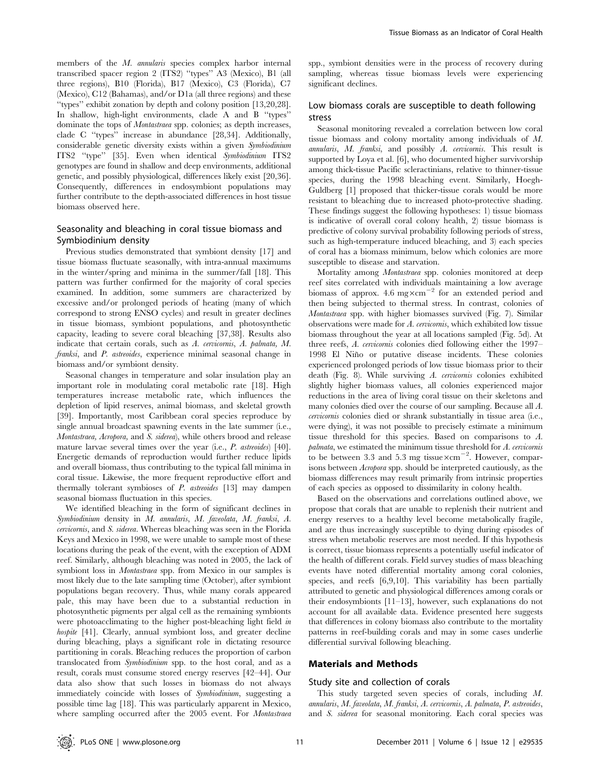members of the M. annularis species complex harbor internal transcribed spacer region 2 (ITS2) ''types'' A3 (Mexico), B1 (all three regions), B10 (Florida), B17 (Mexico), C3 (Florida), C7 (Mexico), C12 (Bahamas), and/or D1a (all three regions) and these ''types'' exhibit zonation by depth and colony position [13,20,28]. In shallow, high-light environments, clade A and B ''types'' dominate the tops of *Montastraea* spp. colonies; as depth increases, clade C ''types'' increase in abundance [28,34]. Additionally, considerable genetic diversity exists within a given Symbiodinium ITS2 ''type'' [35]. Even when identical Symbiodinium ITS2 genotypes are found in shallow and deep environments, additional genetic, and possibly physiological, differences likely exist [20,36]. Consequently, differences in endosymbiont populations may further contribute to the depth-associated differences in host tissue biomass observed here.

# Seasonality and bleaching in coral tissue biomass and Symbiodinium density

Previous studies demonstrated that symbiont density [17] and tissue biomass fluctuate seasonally, with intra-annual maximums in the winter/spring and minima in the summer/fall [18]. This pattern was further confirmed for the majority of coral species examined. In addition, some summers are characterized by excessive and/or prolonged periods of heating (many of which correspond to strong ENSO cycles) and result in greater declines in tissue biomass, symbiont populations, and photosynthetic capacity, leading to severe coral bleaching [37,38]. Results also indicate that certain corals, such as A. cervicornis, A. palmata, M. franksi, and P. astreoides, experience minimal seasonal change in biomass and/or symbiont density.

Seasonal changes in temperature and solar insulation play an important role in modulating coral metabolic rate [18]. High temperatures increase metabolic rate, which influences the depletion of lipid reserves, animal biomass, and skeletal growth [39]. Importantly, most Caribbean coral species reproduce by single annual broadcast spawning events in the late summer (i.e., Montastraea, Acropora, and S. siderea), while others brood and release mature larvae several times over the year (i.e., P. astreoides) [40]. Energetic demands of reproduction would further reduce lipids and overall biomass, thus contributing to the typical fall minima in coral tissue. Likewise, the more frequent reproductive effort and thermally tolerant symbioses of P. astreoides [13] may dampen seasonal biomass fluctuation in this species.

We identified bleaching in the form of significant declines in Symbiodinium density in M. annularis, M. faveolata, M. franksi, A. cervicornis, and S. siderea. Whereas bleaching was seen in the Florida Keys and Mexico in 1998, we were unable to sample most of these locations during the peak of the event, with the exception of ADM reef. Similarly, although bleaching was noted in 2005, the lack of symbiont loss in Montastraea spp. from Mexico in our samples is most likely due to the late sampling time (October), after symbiont populations began recovery. Thus, while many corals appeared pale, this may have been due to a substantial reduction in photosynthetic pigments per algal cell as the remaining symbionts were photoacclimating to the higher post-bleaching light field in hospite [41]. Clearly, annual symbiont loss, and greater decline during bleaching, plays a significant role in dictating resource partitioning in corals. Bleaching reduces the proportion of carbon translocated from Symbiodinium spp. to the host coral, and as a result, corals must consume stored energy reserves [42–44]. Our data also show that such losses in biomass do not always immediately coincide with losses of Symbiodinium, suggesting a possible time lag [18]. This was particularly apparent in Mexico, where sampling occurred after the 2005 event. For Montastraea spp., symbiont densities were in the process of recovery during sampling, whereas tissue biomass levels were experiencing significant declines.

# Low biomass corals are susceptible to death following stress

Seasonal monitoring revealed a correlation between low coral tissue biomass and colony mortality among individuals of M. annularis, M. franksi, and possibly A. cervicornis. This result is supported by Loya et al. [6], who documented higher survivorship among thick-tissue Pacific scleractinians, relative to thinner-tissue species, during the 1998 bleaching event. Similarly, Hoegh-Guldberg [1] proposed that thicker-tissue corals would be more resistant to bleaching due to increased photo-protective shading. These findings suggest the following hypotheses: 1) tissue biomass is indicative of overall coral colony health, 2) tissue biomass is predictive of colony survival probability following periods of stress, such as high-temperature induced bleaching, and 3) each species of coral has a biomass minimum, below which colonies are more susceptible to disease and starvation.

Mortality among Montastraea spp. colonies monitored at deep reef sites correlated with individuals maintaining a low average biomass of approx. 4.6 mg $\times$ cm<sup>-2</sup> for an extended period and then being subjected to thermal stress. In contrast, colonies of Montastraea spp. with higher biomasses survived (Fig. 7). Similar observations were made for A. cervicornis, which exhibited low tissue biomass throughout the year at all locations sampled (Fig. 5d). At three reefs, A. cervicornis colonies died following either the 1997– 1998 El Niño or putative disease incidents. These colonies experienced prolonged periods of low tissue biomass prior to their death (Fig. 8). While surviving A. cervicornis colonies exhibited slightly higher biomass values, all colonies experienced major reductions in the area of living coral tissue on their skeletons and many colonies died over the course of our sampling. Because all A. cervicornis colonies died or shrank substantially in tissue area (i.e., were dying), it was not possible to precisely estimate a minimum tissue threshold for this species. Based on comparisons to A. palmata, we estimated the minimum tissue threshold for A. cervicornis to be between 3.3 and 5.3 mg tissue $\times$ cm<sup>-2</sup>. However, comparisons between Acropora spp. should be interpreted cautiously, as the biomass differences may result primarily from intrinsic properties of each species as opposed to dissimilarity in colony health.

Based on the observations and correlations outlined above, we propose that corals that are unable to replenish their nutrient and energy reserves to a healthy level become metabolically fragile, and are thus increasingly susceptible to dying during episodes of stress when metabolic reserves are most needed. If this hypothesis is correct, tissue biomass represents a potentially useful indicator of the health of different corals. Field survey studies of mass bleaching events have noted differential mortality among coral colonies, species, and reefs [6,9,10]. This variability has been partially attributed to genetic and physiological differences among corals or their endosymbionts [11–13], however, such explanations do not account for all available data. Evidence presented here suggests that differences in colony biomass also contribute to the mortality patterns in reef-building corals and may in some cases underlie differential survival following bleaching.

## Materials and Methods

#### Study site and collection of corals

This study targeted seven species of corals, including M. annularis, M. faveolata, M. franksi, A. cervicornis, A. palmata, P. astreoides, and S. siderea for seasonal monitoring. Each coral species was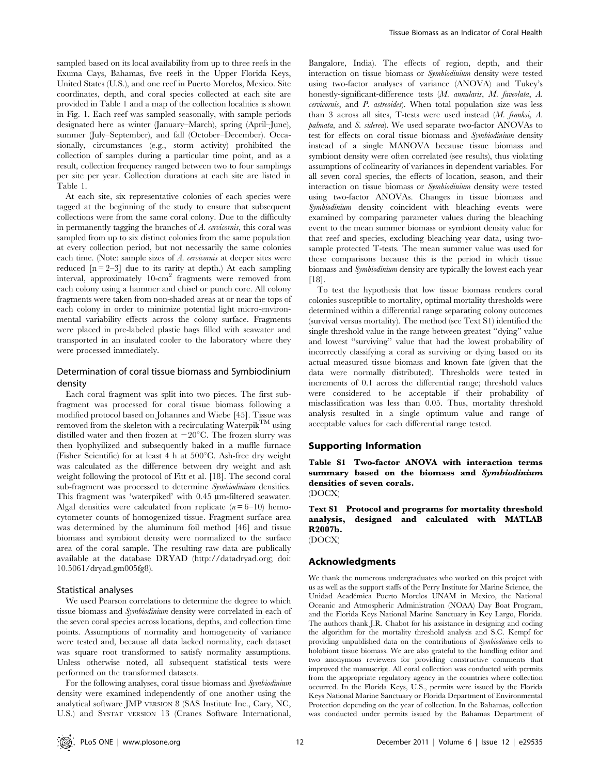sampled based on its local availability from up to three reefs in the Exuma Cays, Bahamas, five reefs in the Upper Florida Keys, United States (U.S.), and one reef in Puerto Morelos, Mexico. Site coordinates, depth, and coral species collected at each site are provided in Table 1 and a map of the collection localities is shown in Fig. 1. Each reef was sampled seasonally, with sample periods designated here as winter (January–March), spring (April–June), summer (July–September), and fall (October–December). Occasionally, circumstances (e.g., storm activity) prohibited the collection of samples during a particular time point, and as a result, collection frequency ranged between two to four samplings per site per year. Collection durations at each site are listed in Table 1.

At each site, six representative colonies of each species were tagged at the beginning of the study to ensure that subsequent collections were from the same coral colony. Due to the difficulty in permanently tagging the branches of A. cervicornis, this coral was sampled from up to six distinct colonies from the same population at every collection period, but not necessarily the same colonies each time. (Note: sample sizes of A. *cervicornis* at deeper sites were reduced  $[n = 2-3]$  due to its rarity at depth.) At each sampling interval, approximately 10-cm<sup>2</sup> fragments were removed from each colony using a hammer and chisel or punch core. All colony fragments were taken from non-shaded areas at or near the tops of each colony in order to minimize potential light micro-environmental variability effects across the colony surface. Fragments were placed in pre-labeled plastic bags filled with seawater and transported in an insulated cooler to the laboratory where they were processed immediately.

## Determination of coral tissue biomass and Symbiodinium density

Each coral fragment was split into two pieces. The first subfragment was processed for coral tissue biomass following a modified protocol based on Johannes and Wiebe [45]. Tissue was removed from the skeleton with a recirculating Waterpik<sup>TM</sup> using distilled water and then frozen at  $-20^{\circ}$ C. The frozen slurry was then lyophyilized and subsequently baked in a muffle furnace (Fisher Scientific) for at least 4 h at  $500^{\circ}$ C. Ash-free dry weight was calculated as the difference between dry weight and ash weight following the protocol of Fitt et al. [18]. The second coral sub-fragment was processed to determine Symbiodinium densities. This fragment was 'waterpiked' with 0.45 µm-filtered seawater. Algal densities were calculated from replicate  $(n=6-10)$  hemocytometer counts of homogenized tissue. Fragment surface area was determined by the aluminum foil method [46] and tissue biomass and symbiont density were normalized to the surface area of the coral sample. The resulting raw data are publically available at the database DRYAD (http://datadryad.org; doi: 10.5061/dryad.gm005fg8).

#### Statistical analyses

We used Pearson correlations to determine the degree to which tissue biomass and Symbiodinium density were correlated in each of the seven coral species across locations, depths, and collection time points. Assumptions of normality and homogeneity of variance were tested and, because all data lacked normality, each dataset was square root transformed to satisfy normality assumptions. Unless otherwise noted, all subsequent statistical tests were performed on the transformed datasets.

For the following analyses, coral tissue biomass and Symbiodinium density were examined independently of one another using the analytical software JMP VERSION 8 (SAS Institute Inc., Cary, NC, U.S.) and SYSTAT VERSION 13 (Cranes Software International,

Bangalore, India). The effects of region, depth, and their interaction on tissue biomass or Symbiodinium density were tested using two-factor analyses of variance (ANOVA) and Tukey's honestly-significant-difference tests (M. annularis, M. faveolata, A. cervicornis, and P. astreoides). When total population size was less than 3 across all sites, T-tests were used instead (M. franksi, A. palmata, and S. siderea). We used separate two-factor ANOVAs to test for effects on coral tissue biomass and Symbiodinium density instead of a single MANOVA because tissue biomass and symbiont density were often correlated (see results), thus violating assumptions of colinearity of variances in dependent variables. For all seven coral species, the effects of location, season, and their interaction on tissue biomass or Symbiodinium density were tested using two-factor ANOVAs. Changes in tissue biomass and Symbiodinium density coincident with bleaching events were examined by comparing parameter values during the bleaching event to the mean summer biomass or symbiont density value for that reef and species, excluding bleaching year data, using twosample protected T-tests. The mean summer value was used for these comparisons because this is the period in which tissue biomass and Symbiodinium density are typically the lowest each year [18].

To test the hypothesis that low tissue biomass renders coral colonies susceptible to mortality, optimal mortality thresholds were determined within a differential range separating colony outcomes (survival versus mortality). The method (see Text S1) identified the single threshold value in the range between greatest ''dying'' value and lowest ''surviving'' value that had the lowest probability of incorrectly classifying a coral as surviving or dying based on its actual measured tissue biomass and known fate (given that the data were normally distributed). Thresholds were tested in increments of 0.1 across the differential range; threshold values were considered to be acceptable if their probability of misclassification was less than 0.05. Thus, mortality threshold analysis resulted in a single optimum value and range of acceptable values for each differential range tested.

#### Supporting Information

Table S1 Two-factor ANOVA with interaction terms summary based on the biomass and Symbiodinium densities of seven corals. (DOCX)

Text S1 Protocol and programs for mortality threshold analysis, designed and calculated with MATLAB R2007b.

```
(DOCX)
```
### Acknowledgments

We thank the numerous undergraduates who worked on this project with us as well as the support staffs of the Perry Institute for Marine Science, the Unidad Académica Puerto Morelos UNAM in Mexico, the National Oceanic and Atmospheric Administration (NOAA) Day Boat Program, and the Florida Keys National Marine Sanctuary in Key Largo, Florida. The authors thank J.R. Chabot for his assistance in designing and coding the algorithm for the mortality threshold analysis and S.C. Kempf for providing unpublished data on the contributions of Symbiodinium cells to holobiont tissue biomass. We are also grateful to the handling editor and two anonymous reviewers for providing constructive comments that improved the manuscript. All coral collection was conducted with permits from the appropriate regulatory agency in the countries where collection occurred. In the Florida Keys, U.S., permits were issued by the Florida Keys National Marine Sanctuary or Florida Department of Environmental Protection depending on the year of collection. In the Bahamas, collection was conducted under permits issued by the Bahamas Department of